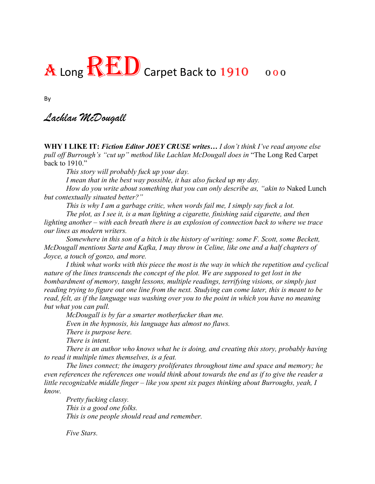## A Long RED Carpet Back to 1910 000

By

## *Lachlan McDougall*

**WHY I LIKE IT:** *Fiction Editor JOEY CRUSE writes… I don't think I've read anyone else pull off Burrough's "cut up" method like Lachlan McDougall does in* "The Long Red Carpet back to 1910."

*This story will probably fuck up your day.* 

*I mean that in the best way possible, it has also fucked up my day.* 

*How do you write about something that you can only describe as, "akin to Naked Lunch but contextually situated better?"* 

*This is why I am a garbage critic, when words fail me, I simply say fuck a lot.*

*The plot, as I see it, is a man lighting a cigarette, finishing said cigarette, and then lighting another – with each breath there is an explosion of connection back to where we trace our lines as modern writers.* 

*Somewhere in this son of a bitch is the history of writing: some F. Scott, some Beckett, McDougall mentions Sarte and Kafka, I may throw in Celine, like one and a half chapters of Joyce, a touch of gonzo, and more.*

*I think what works with this piece the most is the way in which the repetition and cyclical nature of the lines transcends the concept of the plot. We are supposed to get lost in the bombardment of memory, taught lessons, multiple readings, terrifying visions, or simply just reading trying to figure out one line from the next. Studying can come later, this is meant to be read, felt, as if the language was washing over you to the point in which you have no meaning but what you can pull.* 

*McDougall is by far a smarter motherfucker than me. Even in the hypnosis, his language has almost no flaws. There is purpose here. There is intent.* 

*There is an author who knows what he is doing, and creating this story, probably having to read it multiple times themselves, is a feat.*

*The lines connect; the imagery proliferates throughout time and space and memory; he even references the references one would think about towards the end as if to give the reader a little recognizable middle finger – like you spent six pages thinking about Burroughs, yeah, I know.* 

*Pretty fucking classy. This is a good one folks. This is one people should read and remember.* 

 *Five Stars.*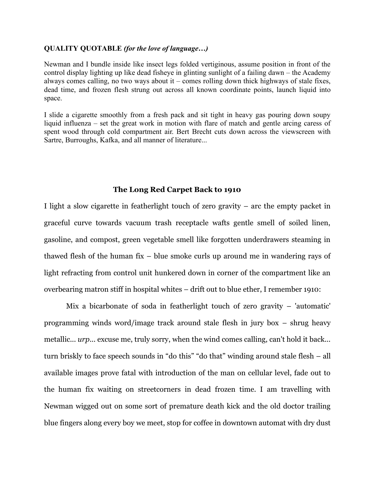## **QUALITY QUOTABLE** *(for the love of language…)*

Newman and I bundle inside like insect legs folded vertiginous, assume position in front of the control display lighting up like dead fisheye in glinting sunlight of a failing dawn – the Academy always comes calling, no two ways about it – comes rolling down thick highways of stale fixes, dead time, and frozen flesh strung out across all known coordinate points, launch liquid into space.

I slide a cigarette smoothly from a fresh pack and sit tight in heavy gas pouring down soupy liquid influenza – set the great work in motion with flare of match and gentle arcing caress of spent wood through cold compartment air. Bert Brecht cuts down across the viewscreen with Sartre, Burroughs, Kafka, and all manner of literature...

## **The Long Red Carpet Back to 1910**

I light a slow cigarette in featherlight touch of zero gravity – arc the empty packet in graceful curve towards vacuum trash receptacle wafts gentle smell of soiled linen, gasoline, and compost, green vegetable smell like forgotten underdrawers steaming in thawed flesh of the human fix – blue smoke curls up around me in wandering rays of light refracting from control unit hunkered down in corner of the compartment like an overbearing matron stiff in hospital whites – drift out to blue ether, I remember 1910:

Mix a bicarbonate of soda in featherlight touch of zero gravity – 'automatic' programming winds word/image track around stale flesh in jury box – shrug heavy metallic... *urp*... excuse me, truly sorry, when the wind comes calling, can't hold it back... turn briskly to face speech sounds in "do this" "do that" winding around stale flesh – all available images prove fatal with introduction of the man on cellular level, fade out to the human fix waiting on streetcorners in dead frozen time. I am travelling with Newman wigged out on some sort of premature death kick and the old doctor trailing blue fingers along every boy we meet, stop for coffee in downtown automat with dry dust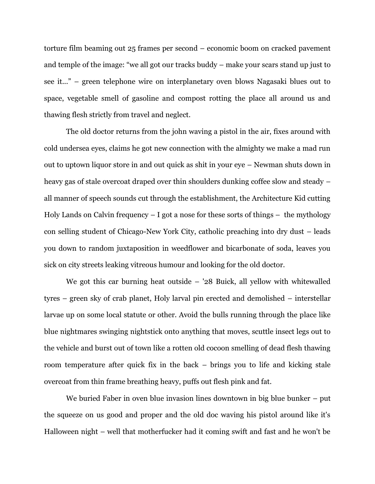torture film beaming out 25 frames per second – economic boom on cracked pavement and temple of the image: "we all got our tracks buddy – make your scars stand up just to see it..." – green telephone wire on interplanetary oven blows Nagasaki blues out to space, vegetable smell of gasoline and compost rotting the place all around us and thawing flesh strictly from travel and neglect.

The old doctor returns from the john waving a pistol in the air, fixes around with cold undersea eyes, claims he got new connection with the almighty we make a mad run out to uptown liquor store in and out quick as shit in your eye – Newman shuts down in heavy gas of stale overcoat draped over thin shoulders dunking coffee slow and steady – all manner of speech sounds cut through the establishment, the Architecture Kid cutting Holy Lands on Calvin frequency  $-1$  got a nose for these sorts of things  $-$  the mythology con selling student of Chicago-New York City, catholic preaching into dry dust – leads you down to random juxtaposition in weedflower and bicarbonate of soda, leaves you sick on city streets leaking vitreous humour and looking for the old doctor.

We got this car burning heat outside – '28 Buick, all yellow with whitewalled tyres – green sky of crab planet, Holy larval pin erected and demolished – interstellar larvae up on some local statute or other. Avoid the bulls running through the place like blue nightmares swinging nightstick onto anything that moves, scuttle insect legs out to the vehicle and burst out of town like a rotten old cocoon smelling of dead flesh thawing room temperature after quick fix in the back – brings you to life and kicking stale overcoat from thin frame breathing heavy, puffs out flesh pink and fat.

We buried Faber in oven blue invasion lines downtown in big blue bunker – put the squeeze on us good and proper and the old doc waving his pistol around like it's Halloween night – well that motherfucker had it coming swift and fast and he won't be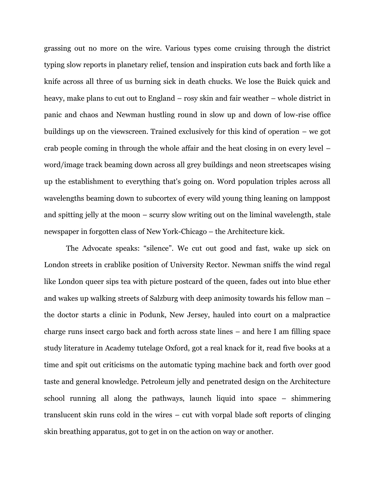grassing out no more on the wire. Various types come cruising through the district typing slow reports in planetary relief, tension and inspiration cuts back and forth like a knife across all three of us burning sick in death chucks. We lose the Buick quick and heavy, make plans to cut out to England – rosy skin and fair weather – whole district in panic and chaos and Newman hustling round in slow up and down of low-rise office buildings up on the viewscreen. Trained exclusively for this kind of operation – we got crab people coming in through the whole affair and the heat closing in on every level – word/image track beaming down across all grey buildings and neon streetscapes wising up the establishment to everything that's going on. Word population triples across all wavelengths beaming down to subcortex of every wild young thing leaning on lamppost and spitting jelly at the moon – scurry slow writing out on the liminal wavelength, stale newspaper in forgotten class of New York-Chicago – the Architecture kick.

The Advocate speaks: "silence". We cut out good and fast, wake up sick on London streets in crablike position of University Rector. Newman sniffs the wind regal like London queer sips tea with picture postcard of the queen, fades out into blue ether and wakes up walking streets of Salzburg with deep animosity towards his fellow man – the doctor starts a clinic in Podunk, New Jersey, hauled into court on a malpractice charge runs insect cargo back and forth across state lines – and here I am filling space study literature in Academy tutelage Oxford, got a real knack for it, read five books at a time and spit out criticisms on the automatic typing machine back and forth over good taste and general knowledge. Petroleum jelly and penetrated design on the Architecture school running all along the pathways, launch liquid into space – shimmering translucent skin runs cold in the wires – cut with vorpal blade soft reports of clinging skin breathing apparatus, got to get in on the action on way or another.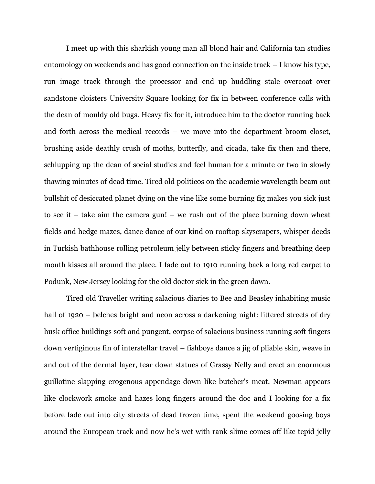I meet up with this sharkish young man all blond hair and California tan studies entomology on weekends and has good connection on the inside track – I know his type, run image track through the processor and end up huddling stale overcoat over sandstone cloisters University Square looking for fix in between conference calls with the dean of mouldy old bugs. Heavy fix for it, introduce him to the doctor running back and forth across the medical records – we move into the department broom closet, brushing aside deathly crush of moths, butterfly, and cicada, take fix then and there, schlupping up the dean of social studies and feel human for a minute or two in slowly thawing minutes of dead time. Tired old politicos on the academic wavelength beam out bullshit of desiccated planet dying on the vine like some burning fig makes you sick just to see it – take aim the camera gun! – we rush out of the place burning down wheat fields and hedge mazes, dance dance of our kind on rooftop skyscrapers, whisper deeds in Turkish bathhouse rolling petroleum jelly between sticky fingers and breathing deep mouth kisses all around the place. I fade out to 1910 running back a long red carpet to Podunk, New Jersey looking for the old doctor sick in the green dawn.

Tired old Traveller writing salacious diaries to Bee and Beasley inhabiting music hall of 1920 – belches bright and neon across a darkening night: littered streets of dry husk office buildings soft and pungent, corpse of salacious business running soft fingers down vertiginous fin of interstellar travel – fishboys dance a jig of pliable skin, weave in and out of the dermal layer, tear down statues of Grassy Nelly and erect an enormous guillotine slapping erogenous appendage down like butcher's meat. Newman appears like clockwork smoke and hazes long fingers around the doc and I looking for a fix before fade out into city streets of dead frozen time, spent the weekend goosing boys around the European track and now he's wet with rank slime comes off like tepid jelly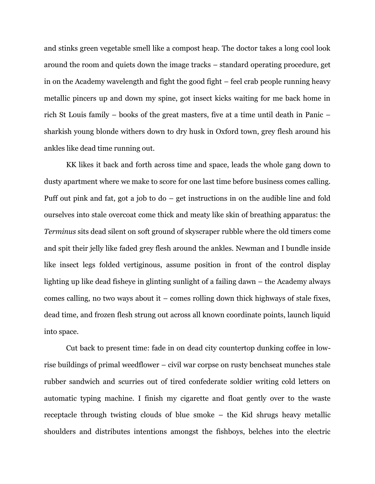and stinks green vegetable smell like a compost heap. The doctor takes a long cool look around the room and quiets down the image tracks – standard operating procedure, get in on the Academy wavelength and fight the good fight – feel crab people running heavy metallic pincers up and down my spine, got insect kicks waiting for me back home in rich St Louis family – books of the great masters, five at a time until death in Panic – sharkish young blonde withers down to dry husk in Oxford town, grey flesh around his ankles like dead time running out.

KK likes it back and forth across time and space, leads the whole gang down to dusty apartment where we make to score for one last time before business comes calling. Puff out pink and fat, got a job to do – get instructions in on the audible line and fold ourselves into stale overcoat come thick and meaty like skin of breathing apparatus: the *Terminus* sits dead silent on soft ground of skyscraper rubble where the old timers come and spit their jelly like faded grey flesh around the ankles. Newman and I bundle inside like insect legs folded vertiginous, assume position in front of the control display lighting up like dead fisheye in glinting sunlight of a failing dawn – the Academy always comes calling, no two ways about it – comes rolling down thick highways of stale fixes, dead time, and frozen flesh strung out across all known coordinate points, launch liquid into space.

Cut back to present time: fade in on dead city countertop dunking coffee in lowrise buildings of primal weedflower – civil war corpse on rusty benchseat munches stale rubber sandwich and scurries out of tired confederate soldier writing cold letters on automatic typing machine. I finish my cigarette and float gently over to the waste receptacle through twisting clouds of blue smoke – the Kid shrugs heavy metallic shoulders and distributes intentions amongst the fishboys, belches into the electric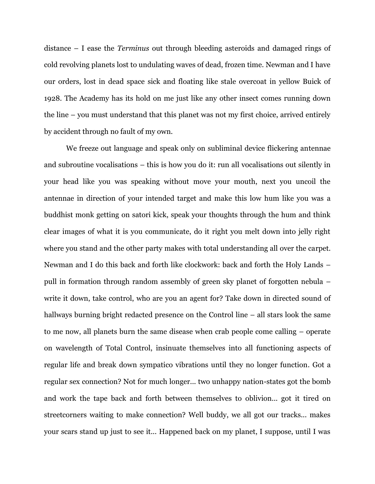distance – I ease the *Terminus* out through bleeding asteroids and damaged rings of cold revolving planets lost to undulating waves of dead, frozen time. Newman and I have our orders, lost in dead space sick and floating like stale overcoat in yellow Buick of 1928. The Academy has its hold on me just like any other insect comes running down the line – you must understand that this planet was not my first choice, arrived entirely by accident through no fault of my own.

We freeze out language and speak only on subliminal device flickering antennae and subroutine vocalisations – this is how you do it: run all vocalisations out silently in your head like you was speaking without move your mouth, next you uncoil the antennae in direction of your intended target and make this low hum like you was a buddhist monk getting on satori kick, speak your thoughts through the hum and think clear images of what it is you communicate, do it right you melt down into jelly right where you stand and the other party makes with total understanding all over the carpet. Newman and I do this back and forth like clockwork: back and forth the Holy Lands – pull in formation through random assembly of green sky planet of forgotten nebula – write it down, take control, who are you an agent for? Take down in directed sound of hallways burning bright redacted presence on the Control line – all stars look the same to me now, all planets burn the same disease when crab people come calling – operate on wavelength of Total Control, insinuate themselves into all functioning aspects of regular life and break down sympatico vibrations until they no longer function*.* Got a regular sex connection? Not for much longer... two unhappy nation-states got the bomb and work the tape back and forth between themselves to oblivion... got it tired on streetcorners waiting to make connection? Well buddy, we all got our tracks... makes your scars stand up just to see it... Happened back on my planet, I suppose, until I was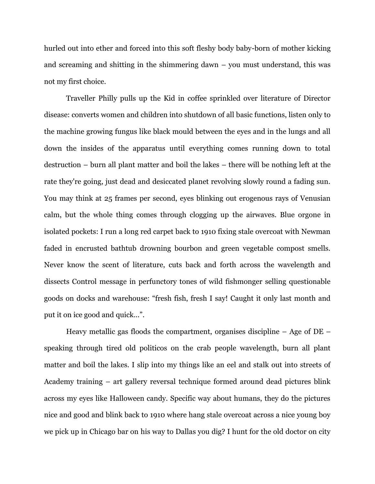hurled out into ether and forced into this soft fleshy body baby-born of mother kicking and screaming and shitting in the shimmering dawn – you must understand, this was not my first choice.

Traveller Philly pulls up the Kid in coffee sprinkled over literature of Director disease: converts women and children into shutdown of all basic functions, listen only to the machine growing fungus like black mould between the eyes and in the lungs and all down the insides of the apparatus until everything comes running down to total destruction – burn all plant matter and boil the lakes – there will be nothing left at the rate they're going, just dead and desiccated planet revolving slowly round a fading sun. You may think at 25 frames per second, eyes blinking out erogenous rays of Venusian calm, but the whole thing comes through clogging up the airwaves. Blue orgone in isolated pockets: I run a long red carpet back to 1910 fixing stale overcoat with Newman faded in encrusted bathtub drowning bourbon and green vegetable compost smells. Never know the scent of literature, cuts back and forth across the wavelength and dissects Control message in perfunctory tones of wild fishmonger selling questionable goods on docks and warehouse: "fresh fish, fresh I say! Caught it only last month and put it on ice good and quick...".

Heavy metallic gas floods the compartment, organises discipline – Age of DE – speaking through tired old politicos on the crab people wavelength, burn all plant matter and boil the lakes. I slip into my things like an eel and stalk out into streets of Academy training – art gallery reversal technique formed around dead pictures blink across my eyes like Halloween candy. Specific way about humans, they do the pictures nice and good and blink back to 1910 where hang stale overcoat across a nice young boy we pick up in Chicago bar on his way to Dallas you dig? I hunt for the old doctor on city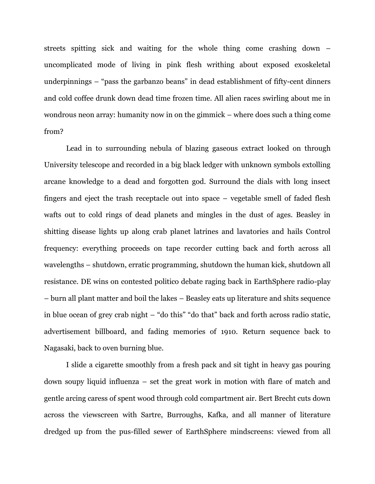streets spitting sick and waiting for the whole thing come crashing down – uncomplicated mode of living in pink flesh writhing about exposed exoskeletal underpinnings – "pass the garbanzo beans" in dead establishment of fifty-cent dinners and cold coffee drunk down dead time frozen time. All alien races swirling about me in wondrous neon array: humanity now in on the gimmick – where does such a thing come from?

Lead in to surrounding nebula of blazing gaseous extract looked on through University telescope and recorded in a big black ledger with unknown symbols extolling arcane knowledge to a dead and forgotten god. Surround the dials with long insect fingers and eject the trash receptacle out into space – vegetable smell of faded flesh wafts out to cold rings of dead planets and mingles in the dust of ages. Beasley in shitting disease lights up along crab planet latrines and lavatories and hails Control frequency: everything proceeds on tape recorder cutting back and forth across all wavelengths – shutdown, erratic programming, shutdown the human kick, shutdown all resistance. DE wins on contested politico debate raging back in EarthSphere radio-play – burn all plant matter and boil the lakes – Beasley eats up literature and shits sequence in blue ocean of grey crab night – "do this" "do that" back and forth across radio static, advertisement billboard, and fading memories of 1910. Return sequence back to Nagasaki, back to oven burning blue.

I slide a cigarette smoothly from a fresh pack and sit tight in heavy gas pouring down soupy liquid influenza – set the great work in motion with flare of match and gentle arcing caress of spent wood through cold compartment air. Bert Brecht cuts down across the viewscreen with Sartre, Burroughs, Kafka, and all manner of literature dredged up from the pus-filled sewer of EarthSphere mindscreens: viewed from all